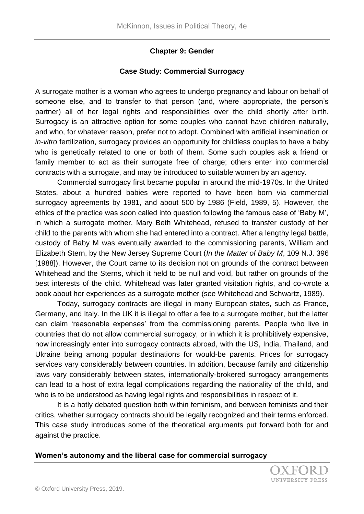## **Chapter 9: Gender**

### **Case Study: Commercial Surrogacy**

A surrogate mother is a woman who agrees to undergo pregnancy and labour on behalf of someone else, and to transfer to that person (and, where appropriate, the person's partner) all of her legal rights and responsibilities over the child shortly after birth. Surrogacy is an attractive option for some couples who cannot have children naturally, and who, for whatever reason, prefer not to adopt. Combined with artificial insemination or *in-vitro* fertilization, surrogacy provides an opportunity for childless couples to have a baby who is genetically related to one or both of them. Some such couples ask a friend or family member to act as their surrogate free of charge; others enter into commercial contracts with a surrogate, and may be introduced to suitable women by an agency.

Commercial surrogacy first became popular in around the mid-1970s. In the United States, about a hundred babies were reported to have been born via commercial surrogacy agreements by 1981, and about 500 by 1986 (Field, 1989, 5). However, the ethics of the practice was soon called into question following the famous case of 'Baby M', in which a surrogate mother, Mary Beth Whitehead, refused to transfer custody of her child to the parents with whom she had entered into a contract. After a lengthy legal battle, custody of Baby M was eventually awarded to the commissioning parents, William and Elizabeth Stern, by the New Jersey Supreme Court (*In the Matter of Baby M*, 109 N.J. 396 [1988]). However, the Court came to its decision not on grounds of the contract between Whitehead and the Sterns, which it held to be null and void, but rather on grounds of the best interests of the child. Whitehead was later granted visitation rights, and co-wrote a book about her experiences as a surrogate mother (see Whitehead and Schwartz, 1989).

Today, surrogacy contracts are illegal in many European states, such as France, Germany, and Italy. In the UK it is illegal to offer a fee to a surrogate mother, but the latter can claim 'reasonable expenses' from the commissioning parents. People who live in countries that do not allow commercial surrogacy, or in which it is prohibitively expensive, now increasingly enter into surrogacy contracts abroad, with the US, India, Thailand, and Ukraine being among popular destinations for would-be parents. Prices for surrogacy services vary considerably between countries. In addition, because family and citizenship laws vary considerably between states, internationally-brokered surrogacy arrangements can lead to a host of extra legal complications regarding the nationality of the child, and who is to be understood as having legal rights and responsibilities in respect of it.

It is a hotly debated question both within feminism, and between feminists and their critics, whether surrogacy contracts should be legally recognized and their terms enforced. This case study introduces some of the theoretical arguments put forward both for and against the practice.

### **Women's autonomy and the liberal case for commercial surrogacy**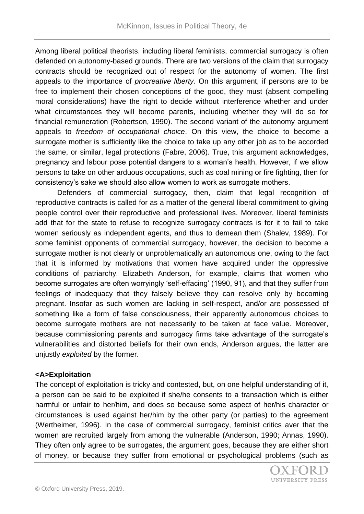Among liberal political theorists, including liberal feminists, commercial surrogacy is often defended on autonomy-based grounds. There are two versions of the claim that surrogacy contracts should be recognized out of respect for the autonomy of women. The first appeals to the importance of *procreative liberty*. On this argument, if persons are to be free to implement their chosen conceptions of the good, they must (absent compelling moral considerations) have the right to decide without interference whether and under what circumstances they will become parents, including whether they will do so for financial remuneration (Robertson, 1990). The second variant of the autonomy argument appeals to *freedom of occupational choice*. On this view, the choice to become a surrogate mother is sufficiently like the choice to take up any other job as to be accorded the same, or similar, legal protections (Fabre, 2006). True, this argument acknowledges, pregnancy and labour pose potential dangers to a woman's health. However, if we allow persons to take on other arduous occupations, such as coal mining or fire fighting, then for consistency's sake we should also allow women to work as surrogate mothers.

Defenders of commercial surrogacy, then, claim that legal recognition of reproductive contracts is called for as a matter of the general liberal commitment to giving people control over their reproductive and professional lives. Moreover, liberal feminists add that for the state to refuse to recognize surrogacy contracts is for it to fail to take women seriously as independent agents, and thus to demean them (Shalev, 1989). For some feminist opponents of commercial surrogacy, however, the decision to become a surrogate mother is not clearly or unproblematically an autonomous one, owing to the fact that it is informed by motivations that women have acquired under the oppressive conditions of patriarchy. Elizabeth Anderson, for example, claims that women who become surrogates are often worryingly 'self-effacing' (1990, 91), and that they suffer from feelings of inadequacy that they falsely believe they can resolve only by becoming pregnant. Insofar as such women are lacking in self-respect, and/or are possessed of something like a form of false consciousness, their apparently autonomous choices to become surrogate mothers are not necessarily to be taken at face value. Moreover, because commissioning parents and surrogacy firms take advantage of the surrogate's vulnerabilities and distorted beliefs for their own ends, Anderson argues, the latter are unjustly *exploited* by the former.

# **<A>Exploitation**

The concept of exploitation is tricky and contested, but, on one helpful understanding of it, a person can be said to be exploited if she/he consents to a transaction which is either harmful or unfair to her/him, and does so because some aspect of her/his character or circumstances is used against her/him by the other party (or parties) to the agreement (Wertheimer, 1996). In the case of commercial surrogacy, feminist critics aver that the women are recruited largely from among the vulnerable (Anderson, 1990; Annas, 1990). They often only agree to be surrogates, the argument goes, because they are either short of money, or because they suffer from emotional or psychological problems (such as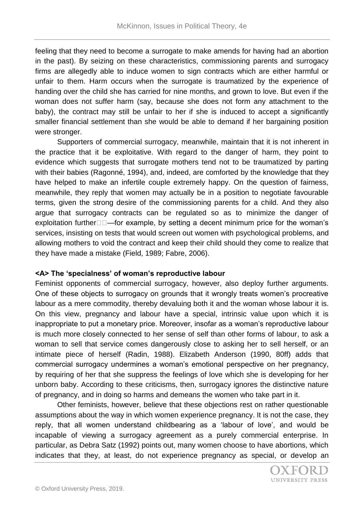feeling that they need to become a surrogate to make amends for having had an abortion in the past). By seizing on these characteristics, commissioning parents and surrogacy firms are allegedly able to induce women to sign contracts which are either harmful or unfair to them. Harm occurs when the surrogate is traumatized by the experience of handing over the child she has carried for nine months, and grown to love. But even if the woman does not suffer harm (say, because she does not form any attachment to the baby), the contract may still be unfair to her if she is induced to accept a significantly smaller financial settlement than she would be able to demand if her bargaining position were stronger.

Supporters of commercial surrogacy, meanwhile, maintain that it is not inherent in the practice that it be exploitative. With regard to the danger of harm, they point to evidence which suggests that surrogate mothers tend not to be traumatized by parting with their babies (Ragonné, 1994), and, indeed, are comforted by the knowledge that they have helped to make an infertile couple extremely happy. On the question of fairness, meanwhile, they reply that women may actually be in a position to negotiate favourable terms, given the strong desire of the commissioning parents for a child. And they also argue that surrogacy contracts can be regulated so as to minimize the danger of exploitation further $\Box \Box$  for example, by setting a decent minimum price for the woman's services, insisting on tests that would screen out women with psychological problems, and allowing mothers to void the contract and keep their child should they come to realize that they have made a mistake (Field, 1989; Fabre, 2006).

# **<A> The 'specialness' of woman's reproductive labour**

Feminist opponents of commercial surrogacy, however, also deploy further arguments. One of these objects to surrogacy on grounds that it wrongly treats women's procreative labour as a mere commodity, thereby devaluing both it and the woman whose labour it is. On this view, pregnancy and labour have a special, intrinsic value upon which it is inappropriate to put a monetary price. Moreover, insofar as a woman's reproductive labour is much more closely connected to her sense of self than other forms of labour, to ask a woman to sell that service comes dangerously close to asking her to sell herself, or an intimate piece of herself (Radin, 1988). Elizabeth Anderson (1990, 80ff) adds that commercial surrogacy undermines a woman's emotional perspective on her pregnancy, by requiring of her that she suppress the feelings of love which she is developing for her unborn baby. According to these criticisms, then, surrogacy ignores the distinctive nature of pregnancy, and in doing so harms and demeans the women who take part in it.

Other feminists, however, believe that these objections rest on rather questionable assumptions about the way in which women experience pregnancy. It is not the case, they reply, that all women understand childbearing as a 'labour of love', and would be incapable of viewing a surrogacy agreement as a purely commercial enterprise. In particular, as Debra Satz (1992) points out, many women choose to have abortions, which indicates that they, at least, do not experience pregnancy as special, or develop an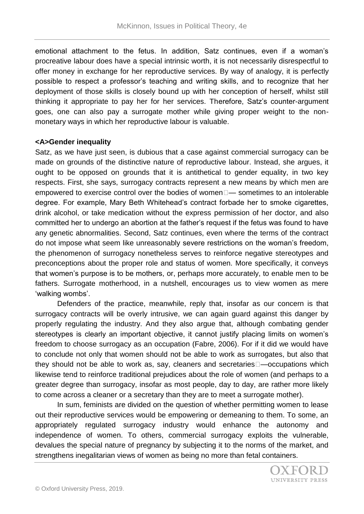emotional attachment to the fetus. In addition, Satz continues, even if a woman's procreative labour does have a special intrinsic worth, it is not necessarily disrespectful to offer money in exchange for her reproductive services. By way of analogy, it is perfectly possible to respect a professor's teaching and writing skills, and to recognize that her deployment of those skills is closely bound up with her conception of herself, whilst still thinking it appropriate to pay her for her services. Therefore, Satz's counter-argument goes, one can also pay a surrogate mother while giving proper weight to the nonmonetary ways in which her reproductive labour is valuable.

#### **<A>Gender inequality**

Satz, as we have just seen, is dubious that a case against commercial surrogacy can be made on grounds of the distinctive nature of reproductive labour. Instead, she argues, it ought to be opposed on grounds that it is antithetical to gender equality, in two key respects. First, she says, surrogacy contracts represent a new means by which men are empowered to exercise control over the bodies of women $\square$ — sometimes to an intolerable degree. For example, Mary Beth Whitehead's contract forbade her to smoke cigarettes, drink alcohol, or take medication without the express permission of her doctor, and also committed her to undergo an abortion at the father's request if the fetus was found to have any genetic abnormalities. Second, Satz continues, even where the terms of the contract do not impose what seem like unreasonably severe restrictions on the woman's freedom, the phenomenon of surrogacy nonetheless serves to reinforce negative stereotypes and preconceptions about the proper role and status of women. More specifically, it conveys that women's purpose is to be mothers, or, perhaps more accurately, to enable men to be fathers. Surrogate motherhood, in a nutshell, encourages us to view women as mere 'walking wombs'.

Defenders of the practice, meanwhile, reply that, insofar as our concern is that surrogacy contracts will be overly intrusive, we can again guard against this danger by properly regulating the industry. And they also argue that, although combating gender stereotypes is clearly an important objective, it cannot justify placing limits on women's freedom to choose surrogacy as an occupation (Fabre, 2006). For if it did we would have to conclude not only that women should not be able to work as surrogates, but also that they should not be able to work as, say, cleaners and secretaries—occupations which likewise tend to reinforce traditional prejudices about the role of women (and perhaps to a greater degree than surrogacy, insofar as most people, day to day, are rather more likely to come across a cleaner or a secretary than they are to meet a surrogate mother).

In sum, feminists are divided on the question of whether permitting women to lease out their reproductive services would be empowering or demeaning to them. To some, an appropriately regulated surrogacy industry would enhance the autonomy and independence of women. To others, commercial surrogacy exploits the vulnerable, devalues the special nature of pregnancy by subjecting it to the norms of the market, and strengthens inegalitarian views of women as being no more than fetal containers.